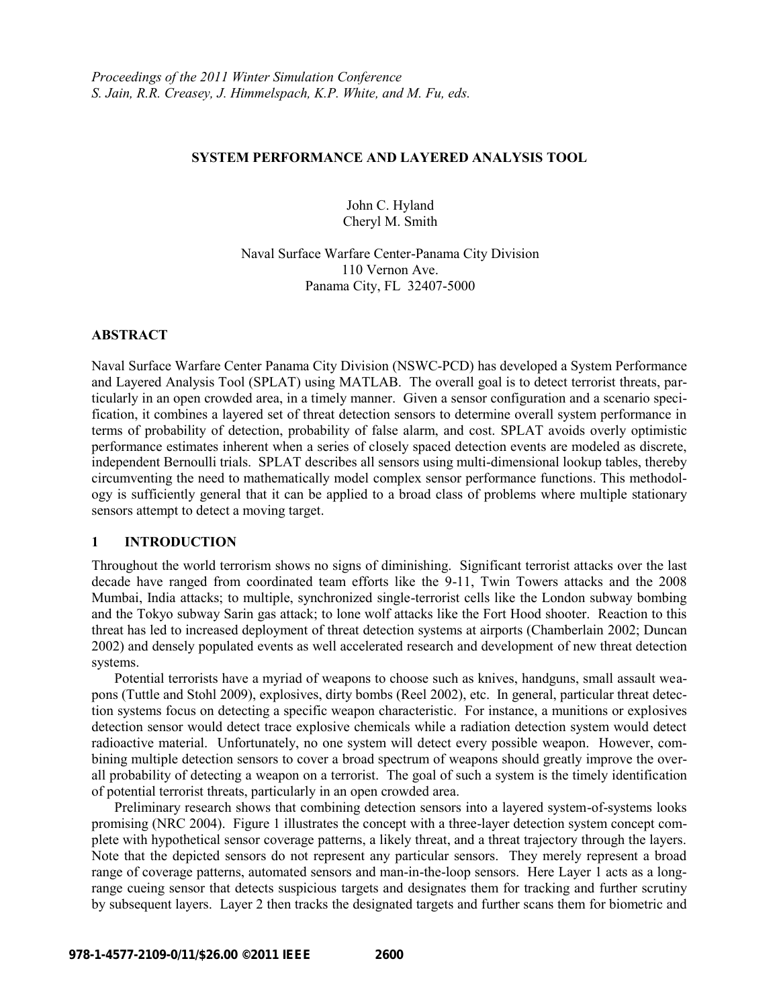### **SYSTEM PERFORMANCE AND LAYERED ANALYSIS TOOL**

John C. Hyland Cheryl M. Smith

Naval Surface Warfare Center-Panama City Division 110 Vernon Ave. Panama City, FL 32407-5000

#### **ABSTRACT**

Naval Surface Warfare Center Panama City Division (NSWC-PCD) has developed a System Performance and Layered Analysis Tool (SPLAT) using MATLAB. The overall goal is to detect terrorist threats, particularly in an open crowded area, in a timely manner. Given a sensor configuration and a scenario specification, it combines a layered set of threat detection sensors to determine overall system performance in terms of probability of detection, probability of false alarm, and cost. SPLAT avoids overly optimistic performance estimates inherent when a series of closely spaced detection events are modeled as discrete, independent Bernoulli trials. SPLAT describes all sensors using multi-dimensional lookup tables, thereby circumventing the need to mathematically model complex sensor performance functions. This methodology is sufficiently general that it can be applied to a broad class of problems where multiple stationary sensors attempt to detect a moving target.

## **1 INTRODUCTION**

Throughout the world terrorism shows no signs of diminishing. Significant terrorist attacks over the last decade have ranged from coordinated team efforts like the 9-11, Twin Towers attacks and the 2008 Mumbai, India attacks; to multiple, synchronized single-terrorist cells like the London subway bombing and the Tokyo subway Sarin gas attack; to lone wolf attacks like the Fort Hood shooter. Reaction to this threat has led to increased deployment of threat detection systems at airports (Chamberlain 2002; Duncan 2002) and densely populated events as well accelerated research and development of new threat detection systems.

 Potential terrorists have a myriad of weapons to choose such as knives, handguns, small assault weapons (Tuttle and Stohl 2009), explosives, dirty bombs (Reel 2002), etc. In general, particular threat detection systems focus on detecting a specific weapon characteristic. For instance, a munitions or explosives detection sensor would detect trace explosive chemicals while a radiation detection system would detect radioactive material. Unfortunately, no one system will detect every possible weapon. However, combining multiple detection sensors to cover a broad spectrum of weapons should greatly improve the overall probability of detecting a weapon on a terrorist. The goal of such a system is the timely identification of potential terrorist threats, particularly in an open crowded area.

 Preliminary research shows that combining detection sensors into a layered system-of-systems looks promising (NRC 2004). Figure 1 illustrates the concept with a three-layer detection system concept complete with hypothetical sensor coverage patterns, a likely threat, and a threat trajectory through the layers. Note that the depicted sensors do not represent any particular sensors. They merely represent a broad range of coverage patterns, automated sensors and man-in-the-loop sensors. Here Layer 1 acts as a longrange cueing sensor that detects suspicious targets and designates them for tracking and further scrutiny by subsequent layers. Layer 2 then tracks the designated targets and further scans them for biometric and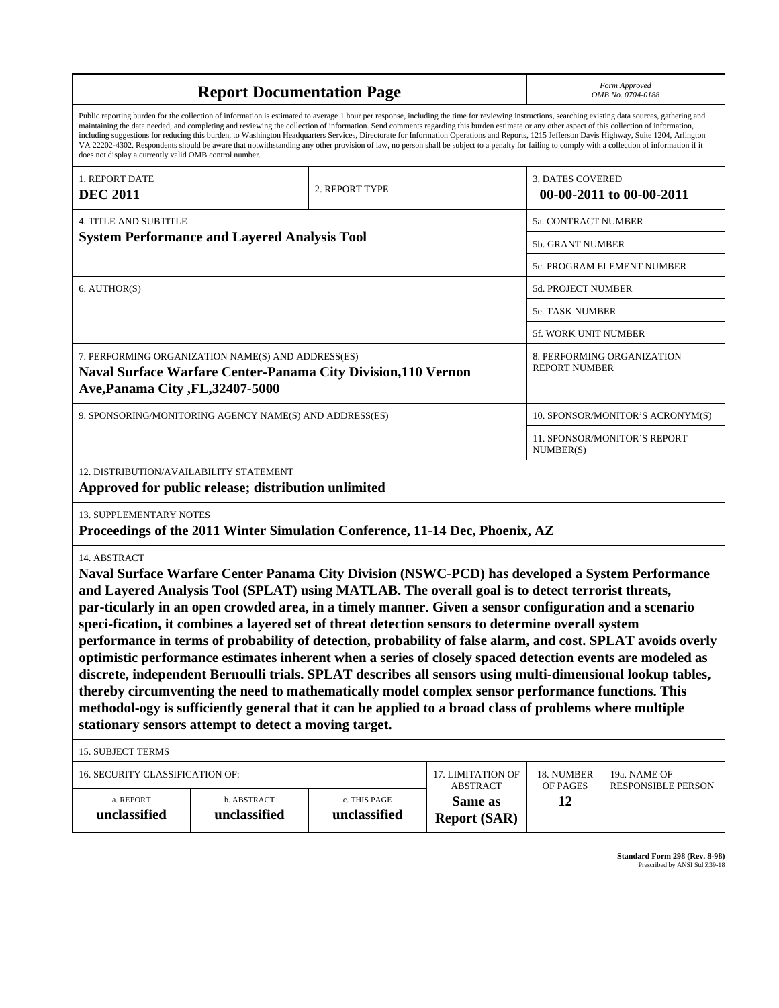|                                                                                                                                                                                                                                                                                                                                                                                                                                                                                                                                                                                                                                                                                                                                                                                                                                                                    | Form Approved<br>OMB No. 0704-0188                      |                                                                                                                                                                                                                                                                                                                                                                                                                                                                                                                                                                                                                                                                                                                                                                                                                                                               |                                                   |                            |                                                                                                             |  |  |  |  |
|--------------------------------------------------------------------------------------------------------------------------------------------------------------------------------------------------------------------------------------------------------------------------------------------------------------------------------------------------------------------------------------------------------------------------------------------------------------------------------------------------------------------------------------------------------------------------------------------------------------------------------------------------------------------------------------------------------------------------------------------------------------------------------------------------------------------------------------------------------------------|---------------------------------------------------------|---------------------------------------------------------------------------------------------------------------------------------------------------------------------------------------------------------------------------------------------------------------------------------------------------------------------------------------------------------------------------------------------------------------------------------------------------------------------------------------------------------------------------------------------------------------------------------------------------------------------------------------------------------------------------------------------------------------------------------------------------------------------------------------------------------------------------------------------------------------|---------------------------------------------------|----------------------------|-------------------------------------------------------------------------------------------------------------|--|--|--|--|
| Public reporting burden for the collection of information is estimated to average 1 hour per response, including the time for reviewing instructions, searching existing data sources, gathering and<br>maintaining the data needed, and completing and reviewing the collection of information. Send comments regarding this burden estimate or any other aspect of this collection of information,<br>including suggestions for reducing this burden, to Washington Headquarters Services, Directorate for Information Operations and Reports, 1215 Jefferson Davis Highway, Suite 1204, Arlington<br>VA 22202-4302. Respondents should be aware that notwithstanding any other provision of law, no person shall be subject to a penalty for failing to comply with a collection of information if it<br>does not display a currently valid OMB control number. |                                                         |                                                                                                                                                                                                                                                                                                                                                                                                                                                                                                                                                                                                                                                                                                                                                                                                                                                               |                                                   |                            |                                                                                                             |  |  |  |  |
| 1. REPORT DATE<br><b>DEC 2011</b>                                                                                                                                                                                                                                                                                                                                                                                                                                                                                                                                                                                                                                                                                                                                                                                                                                  |                                                         | 2. REPORT TYPE                                                                                                                                                                                                                                                                                                                                                                                                                                                                                                                                                                                                                                                                                                                                                                                                                                                |                                                   | <b>3. DATES COVERED</b>    | 00-00-2011 to 00-00-2011                                                                                    |  |  |  |  |
| <b>4. TITLE AND SUBTITLE</b>                                                                                                                                                                                                                                                                                                                                                                                                                                                                                                                                                                                                                                                                                                                                                                                                                                       |                                                         |                                                                                                                                                                                                                                                                                                                                                                                                                                                                                                                                                                                                                                                                                                                                                                                                                                                               | 5a. CONTRACT NUMBER                               |                            |                                                                                                             |  |  |  |  |
|                                                                                                                                                                                                                                                                                                                                                                                                                                                                                                                                                                                                                                                                                                                                                                                                                                                                    | <b>System Performance and Layered Analysis Tool</b>     |                                                                                                                                                                                                                                                                                                                                                                                                                                                                                                                                                                                                                                                                                                                                                                                                                                                               | 5b. GRANT NUMBER                                  |                            |                                                                                                             |  |  |  |  |
|                                                                                                                                                                                                                                                                                                                                                                                                                                                                                                                                                                                                                                                                                                                                                                                                                                                                    |                                                         |                                                                                                                                                                                                                                                                                                                                                                                                                                                                                                                                                                                                                                                                                                                                                                                                                                                               |                                                   | 5c. PROGRAM ELEMENT NUMBER |                                                                                                             |  |  |  |  |
| 6. AUTHOR(S)                                                                                                                                                                                                                                                                                                                                                                                                                                                                                                                                                                                                                                                                                                                                                                                                                                                       | 5d. PROJECT NUMBER                                      |                                                                                                                                                                                                                                                                                                                                                                                                                                                                                                                                                                                                                                                                                                                                                                                                                                                               |                                                   |                            |                                                                                                             |  |  |  |  |
|                                                                                                                                                                                                                                                                                                                                                                                                                                                                                                                                                                                                                                                                                                                                                                                                                                                                    | <b>5e. TASK NUMBER</b>                                  |                                                                                                                                                                                                                                                                                                                                                                                                                                                                                                                                                                                                                                                                                                                                                                                                                                                               |                                                   |                            |                                                                                                             |  |  |  |  |
|                                                                                                                                                                                                                                                                                                                                                                                                                                                                                                                                                                                                                                                                                                                                                                                                                                                                    | <b>5f. WORK UNIT NUMBER</b>                             |                                                                                                                                                                                                                                                                                                                                                                                                                                                                                                                                                                                                                                                                                                                                                                                                                                                               |                                                   |                            |                                                                                                             |  |  |  |  |
| 7. PERFORMING ORGANIZATION NAME(S) AND ADDRESS(ES)<br>Naval Surface Warfare Center-Panama City Division, 110 Vernon<br>Ave, Panama City, FL, 32407-5000                                                                                                                                                                                                                                                                                                                                                                                                                                                                                                                                                                                                                                                                                                            |                                                         |                                                                                                                                                                                                                                                                                                                                                                                                                                                                                                                                                                                                                                                                                                                                                                                                                                                               |                                                   |                            | 8. PERFORMING ORGANIZATION<br><b>REPORT NUMBER</b>                                                          |  |  |  |  |
|                                                                                                                                                                                                                                                                                                                                                                                                                                                                                                                                                                                                                                                                                                                                                                                                                                                                    | 9. SPONSORING/MONITORING AGENCY NAME(S) AND ADDRESS(ES) |                                                                                                                                                                                                                                                                                                                                                                                                                                                                                                                                                                                                                                                                                                                                                                                                                                                               | 10. SPONSOR/MONITOR'S ACRONYM(S)                  |                            |                                                                                                             |  |  |  |  |
|                                                                                                                                                                                                                                                                                                                                                                                                                                                                                                                                                                                                                                                                                                                                                                                                                                                                    |                                                         |                                                                                                                                                                                                                                                                                                                                                                                                                                                                                                                                                                                                                                                                                                                                                                                                                                                               |                                                   | NUMBER(S)                  | 11. SPONSOR/MONITOR'S REPORT                                                                                |  |  |  |  |
| 12. DISTRIBUTION/AVAILABILITY STATEMENT<br>Approved for public release; distribution unlimited                                                                                                                                                                                                                                                                                                                                                                                                                                                                                                                                                                                                                                                                                                                                                                     |                                                         |                                                                                                                                                                                                                                                                                                                                                                                                                                                                                                                                                                                                                                                                                                                                                                                                                                                               |                                                   |                            |                                                                                                             |  |  |  |  |
| 13. SUPPLEMENTARY NOTES<br>Proceedings of the 2011 Winter Simulation Conference, 11-14 Dec, Phoenix, AZ                                                                                                                                                                                                                                                                                                                                                                                                                                                                                                                                                                                                                                                                                                                                                            |                                                         |                                                                                                                                                                                                                                                                                                                                                                                                                                                                                                                                                                                                                                                                                                                                                                                                                                                               |                                                   |                            |                                                                                                             |  |  |  |  |
| 14. ABSTRACT                                                                                                                                                                                                                                                                                                                                                                                                                                                                                                                                                                                                                                                                                                                                                                                                                                                       | stationary sensors attempt to detect a moving target.   | Naval Surface Warfare Center Panama City Division (NSWC-PCD) has developed a System Performance<br>and Layered Analysis Tool (SPLAT) using MATLAB. The overall goal is to detect terrorist threats,<br>par-ticularly in an open crowded area, in a timely manner. Given a sensor configuration and a scenario<br>speci-fication, it combines a layered set of threat detection sensors to determine overall system<br>optimistic performance estimates inherent when a series of closely spaced detection events are modeled as<br>discrete, independent Bernoulli trials. SPLAT describes all sensors using multi-dimensional lookup tables,<br>thereby circumventing the need to mathematically model complex sensor performance functions. This<br>methodol-ogy is sufficiently general that it can be applied to a broad class of problems where multiple |                                                   |                            | performance in terms of probability of detection, probability of false alarm, and cost. SPLAT avoids overly |  |  |  |  |
| <b>15. SUBJECT TERMS</b>                                                                                                                                                                                                                                                                                                                                                                                                                                                                                                                                                                                                                                                                                                                                                                                                                                           |                                                         |                                                                                                                                                                                                                                                                                                                                                                                                                                                                                                                                                                                                                                                                                                                                                                                                                                                               |                                                   |                            |                                                                                                             |  |  |  |  |
| 16. SECURITY CLASSIFICATION OF:                                                                                                                                                                                                                                                                                                                                                                                                                                                                                                                                                                                                                                                                                                                                                                                                                                    |                                                         | 17. LIMITATION OF                                                                                                                                                                                                                                                                                                                                                                                                                                                                                                                                                                                                                                                                                                                                                                                                                                             | 18. NUMBER                                        | 19a. NAME OF               |                                                                                                             |  |  |  |  |
| a. REPORT<br>unclassified                                                                                                                                                                                                                                                                                                                                                                                                                                                                                                                                                                                                                                                                                                                                                                                                                                          | b. ABSTRACT<br>unclassified                             | c. THIS PAGE<br>unclassified                                                                                                                                                                                                                                                                                                                                                                                                                                                                                                                                                                                                                                                                                                                                                                                                                                  | <b>ABSTRACT</b><br>Same as<br><b>Report (SAR)</b> | OF PAGES<br>12             | <b>RESPONSIBLE PERSON</b>                                                                                   |  |  |  |  |

**Standard Form 298 (Rev. 8-98)**<br>Prescribed by ANSI Std Z39-18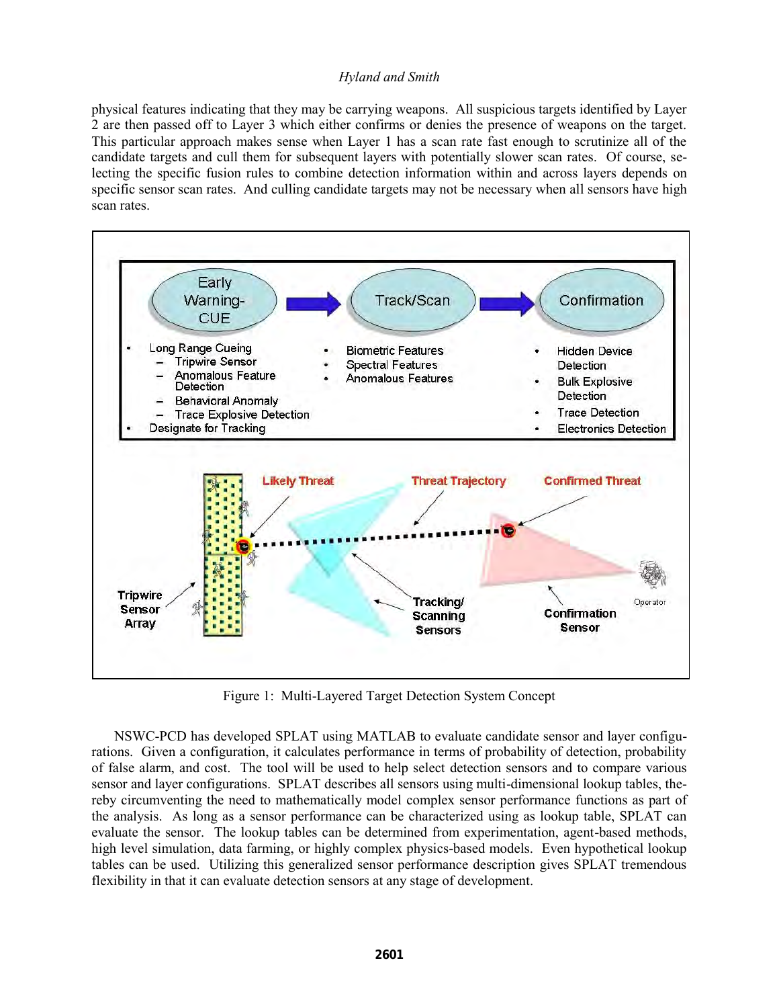physical features indicating that they may be carrying weapons. All suspicious targets identified by Layer 2 are then passed off to Layer 3 which either confirms or denies the presence of weapons on the target. This particular approach makes sense when Layer 1 has a scan rate fast enough to scrutinize all of the candidate targets and cull them for subsequent layers with potentially slower scan rates. Of course, selecting the specific fusion rules to combine detection information within and across layers depends on specific sensor scan rates. And culling candidate targets may not be necessary when all sensors have high scan rates.



Figure 1: Multi-Layered Target Detection System Concept

 NSWC-PCD has developed SPLAT using MATLAB to evaluate candidate sensor and layer configurations. Given a configuration, it calculates performance in terms of probability of detection, probability of false alarm, and cost. The tool will be used to help select detection sensors and to compare various sensor and layer configurations. SPLAT describes all sensors using multi-dimensional lookup tables, thereby circumventing the need to mathematically model complex sensor performance functions as part of the analysis. As long as a sensor performance can be characterized using as lookup table, SPLAT can evaluate the sensor. The lookup tables can be determined from experimentation, agent-based methods, high level simulation, data farming, or highly complex physics-based models. Even hypothetical lookup tables can be used. Utilizing this generalized sensor performance description gives SPLAT tremendous flexibility in that it can evaluate detection sensors at any stage of development.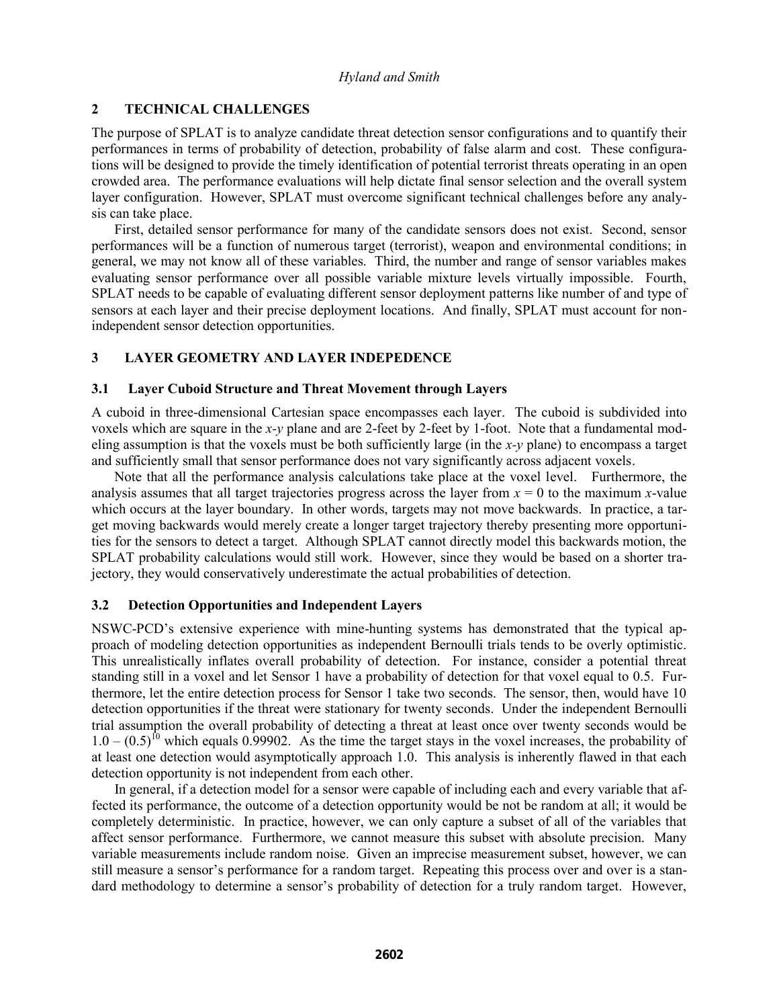# **2 TECHNICAL CHALLENGES**

The purpose of SPLAT is to analyze candidate threat detection sensor configurations and to quantify their performances in terms of probability of detection, probability of false alarm and cost. These configurations will be designed to provide the timely identification of potential terrorist threats operating in an open crowded area. The performance evaluations will help dictate final sensor selection and the overall system layer configuration. However, SPLAT must overcome significant technical challenges before any analysis can take place.

 First, detailed sensor performance for many of the candidate sensors does not exist. Second, sensor performances will be a function of numerous target (terrorist), weapon and environmental conditions; in general, we may not know all of these variables. Third, the number and range of sensor variables makes evaluating sensor performance over all possible variable mixture levels virtually impossible. Fourth, SPLAT needs to be capable of evaluating different sensor deployment patterns like number of and type of sensors at each layer and their precise deployment locations. And finally, SPLAT must account for nonindependent sensor detection opportunities.

## **3 LAYER GEOMETRY AND LAYER INDEPEDENCE**

## **3.1 Layer Cuboid Structure and Threat Movement through Layers**

A cuboid in three-dimensional Cartesian space encompasses each layer. The cuboid is subdivided into voxels which are square in the *x-y* plane and are 2-feet by 2-feet by 1-foot. Note that a fundamental modeling assumption is that the voxels must be both sufficiently large (in the *x-y* plane) to encompass a target and sufficiently small that sensor performance does not vary significantly across adjacent voxels.

Note that all the performance analysis calculations take place at the voxel level. Furthermore, the analysis assumes that all target trajectories progress across the layer from  $x = 0$  to the maximum *x*-value which occurs at the layer boundary. In other words, targets may not move backwards. In practice, a target moving backwards would merely create a longer target trajectory thereby presenting more opportunities for the sensors to detect a target. Although SPLAT cannot directly model this backwards motion, the SPLAT probability calculations would still work. However, since they would be based on a shorter trajectory, they would conservatively underestimate the actual probabilities of detection.

# **3.2 Detection Opportunities and Independent Layers**

NSWC-PCD's extensive experience with mine-hunting systems has demonstrated that the typical approach of modeling detection opportunities as independent Bernoulli trials tends to be overly optimistic. This unrealistically inflates overall probability of detection. For instance, consider a potential threat standing still in a voxel and let Sensor 1 have a probability of detection for that voxel equal to 0.5. Furthermore, let the entire detection process for Sensor 1 take two seconds. The sensor, then, would have 10 detection opportunities if the threat were stationary for twenty seconds. Under the independent Bernoulli trial assumption the overall probability of detecting a threat at least once over twenty seconds would be  $1.0 - (0.5)^{10}$  which equals 0.99902. As the time the target stays in the voxel increases, the probability of at least one detection would asymptotically approach 1.0. This analysis is inherently flawed in that each detection opportunity is not independent from each other.

In general, if a detection model for a sensor were capable of including each and every variable that affected its performance, the outcome of a detection opportunity would be not be random at all; it would be completely deterministic. In practice, however, we can only capture a subset of all of the variables that affect sensor performance. Furthermore, we cannot measure this subset with absolute precision. Many variable measurements include random noise. Given an imprecise measurement subset, however, we can still measure a sensor's performance for a random target. Repeating this process over and over is a standard methodology to determine a sensor's probability of detection for a truly random target. However,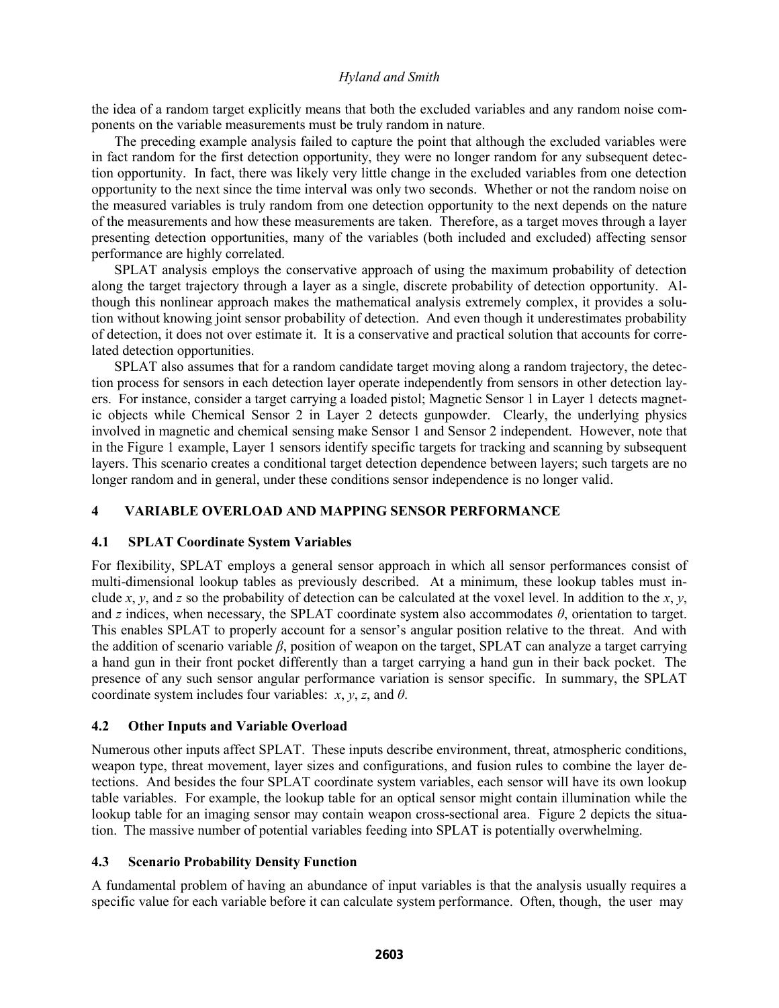the idea of a random target explicitly means that both the excluded variables and any random noise components on the variable measurements must be truly random in nature.

 The preceding example analysis failed to capture the point that although the excluded variables were in fact random for the first detection opportunity, they were no longer random for any subsequent detection opportunity. In fact, there was likely very little change in the excluded variables from one detection opportunity to the next since the time interval was only two seconds. Whether or not the random noise on the measured variables is truly random from one detection opportunity to the next depends on the nature of the measurements and how these measurements are taken. Therefore, as a target moves through a layer presenting detection opportunities, many of the variables (both included and excluded) affecting sensor performance are highly correlated.

 SPLAT analysis employs the conservative approach of using the maximum probability of detection along the target trajectory through a layer as a single, discrete probability of detection opportunity. Although this nonlinear approach makes the mathematical analysis extremely complex, it provides a solution without knowing joint sensor probability of detection. And even though it underestimates probability of detection, it does not over estimate it. It is a conservative and practical solution that accounts for correlated detection opportunities.

 SPLAT also assumes that for a random candidate target moving along a random trajectory, the detection process for sensors in each detection layer operate independently from sensors in other detection layers. For instance, consider a target carrying a loaded pistol; Magnetic Sensor 1 in Layer 1 detects magnetic objects while Chemical Sensor 2 in Layer 2 detects gunpowder. Clearly, the underlying physics involved in magnetic and chemical sensing make Sensor 1 and Sensor 2 independent. However, note that in the Figure 1 example, Layer 1 sensors identify specific targets for tracking and scanning by subsequent layers. This scenario creates a conditional target detection dependence between layers; such targets are no longer random and in general, under these conditions sensor independence is no longer valid.

## **4 VARIABLE OVERLOAD AND MAPPING SENSOR PERFORMANCE**

## **4.1 SPLAT Coordinate System Variables**

For flexibility, SPLAT employs a general sensor approach in which all sensor performances consist of multi-dimensional lookup tables as previously described. At a minimum, these lookup tables must include *x*, *y*, and *z* so the probability of detection can be calculated at the voxel level. In addition to the *x*, *y*, and *z* indices, when necessary, the SPLAT coordinate system also accommodates  $\theta$ , orientation to target. This enables SPLAT to properly account for a sensor's angular position relative to the threat. And with the addition of scenario variable *β*, position of weapon on the target, SPLAT can analyze a target carrying a hand gun in their front pocket differently than a target carrying a hand gun in their back pocket. The presence of any such sensor angular performance variation is sensor specific. In summary, the SPLAT coordinate system includes four variables:  $x, y, z$ , and  $\theta$ .

## **4.2 Other Inputs and Variable Overload**

Numerous other inputs affect SPLAT. These inputs describe environment, threat, atmospheric conditions, weapon type, threat movement, layer sizes and configurations, and fusion rules to combine the layer detections. And besides the four SPLAT coordinate system variables, each sensor will have its own lookup table variables. For example, the lookup table for an optical sensor might contain illumination while the lookup table for an imaging sensor may contain weapon cross-sectional area. Figure 2 depicts the situation. The massive number of potential variables feeding into SPLAT is potentially overwhelming.

## **4.3 Scenario Probability Density Function**

A fundamental problem of having an abundance of input variables is that the analysis usually requires a specific value for each variable before it can calculate system performance. Often, though, the user may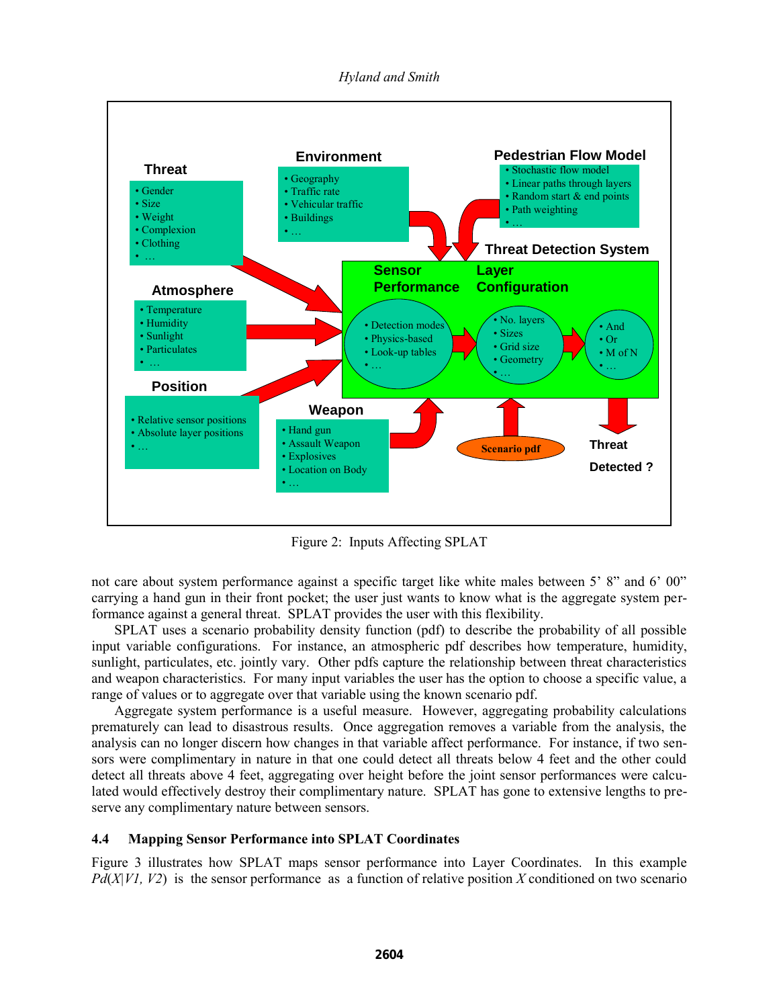

Figure 2: Inputs Affecting SPLAT

not care about system performance against a specific target like white males between 5' 8" and 6' 00" carrying a hand gun in their front pocket; the user just wants to know what is the aggregate system performance against a general threat. SPLAT provides the user with this flexibility.

SPLAT uses a scenario probability density function (pdf) to describe the probability of all possible input variable configurations. For instance, an atmospheric pdf describes how temperature, humidity, sunlight, particulates, etc. jointly vary. Other pdfs capture the relationship between threat characteristics and weapon characteristics. For many input variables the user has the option to choose a specific value, a range of values or to aggregate over that variable using the known scenario pdf.

Aggregate system performance is a useful measure. However, aggregating probability calculations prematurely can lead to disastrous results. Once aggregation removes a variable from the analysis, the analysis can no longer discern how changes in that variable affect performance. For instance, if two sensors were complimentary in nature in that one could detect all threats below 4 feet and the other could detect all threats above 4 feet, aggregating over height before the joint sensor performances were calculated would effectively destroy their complimentary nature. SPLAT has gone to extensive lengths to preserve any complimentary nature between sensors.

## **4.4 Mapping Sensor Performance into SPLAT Coordinates**

Figure 3 illustrates how SPLAT maps sensor performance into Layer Coordinates. In this example *Pd*(*X|V1, V2*) is the sensor performance as a function of relative position *X* conditioned on two scenario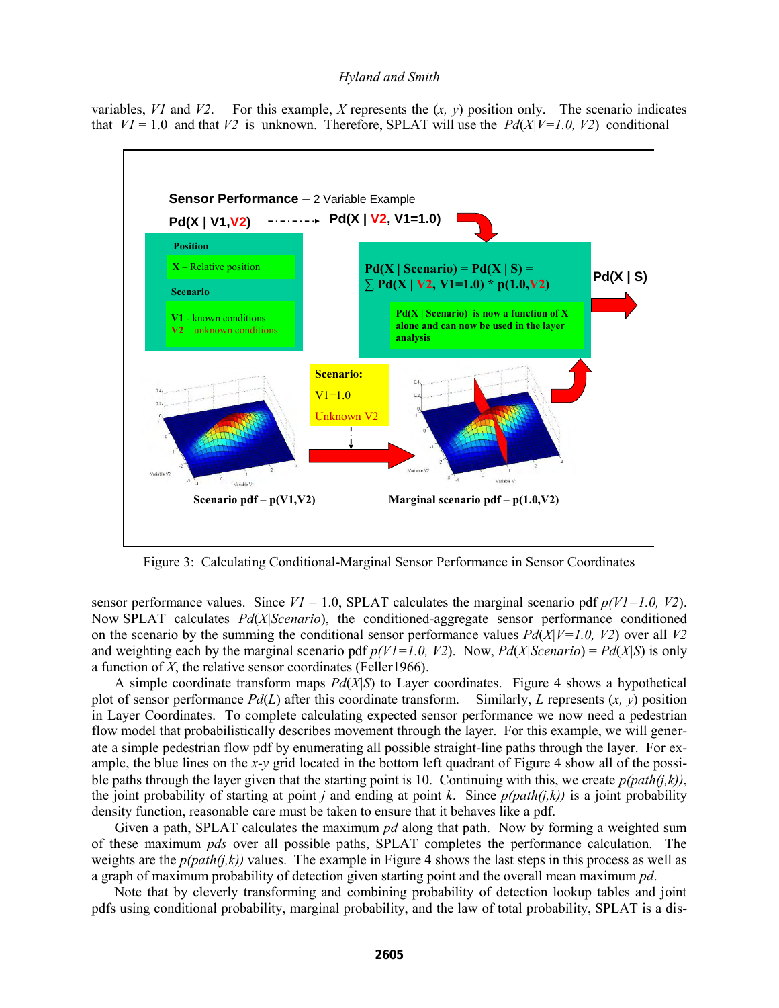variables, *V1* and *V2*. For this example, *X* represents the (*x, y*) position only. The scenario indicates that  $VI = 1.0$  and that *V2* is unknown. Therefore, SPLAT will use the  $Pd(X|V=1.0, V2)$  conditional



Figure 3: Calculating Conditional-Marginal Sensor Performance in Sensor Coordinates

sensor performance values. Since  $VI = 1.0$ , SPLAT calculates the marginal scenario pdf  $p(VI=1.0, V2)$ . Now SPLAT calculates *Pd*(*X|Scenario*), the conditioned-aggregate sensor performance conditioned on the scenario by the summing the conditional sensor performance values *Pd*(*X|V=1.0, V2*) over all *V2* and weighting each by the marginal scenario pdf  $p(VI=1.0, V2)$ . Now,  $Pd(X|Scenario) = Pd(X|S)$  is only a function of *X*, the relative sensor coordinates (Feller1966).

 A simple coordinate transform maps *Pd*(*X|S*) to Layer coordinates. Figure 4 shows a hypothetical plot of sensor performance *Pd*(*L*) after this coordinate transform. Similarly, *L* represents (*x, y*) position in Layer Coordinates. To complete calculating expected sensor performance we now need a pedestrian flow model that probabilistically describes movement through the layer. For this example, we will generate a simple pedestrian flow pdf by enumerating all possible straight-line paths through the layer. For example, the blue lines on the *x-y* grid located in the bottom left quadrant of Figure 4 show all of the possible paths through the layer given that the starting point is 10. Continuing with this, we create  $p(path(j, k))$ , the joint probability of starting at point *j* and ending at point *k*. Since  $p(path(j,k))$  is a joint probability density function, reasonable care must be taken to ensure that it behaves like a pdf.

Given a path, SPLAT calculates the maximum *pd* along that path. Now by forming a weighted sum of these maximum *pds* over all possible paths, SPLAT completes the performance calculation. The weights are the  $p(path(j,k))$  values. The example in Figure 4 shows the last steps in this process as well as a graph of maximum probability of detection given starting point and the overall mean maximum *pd*.

Note that by cleverly transforming and combining probability of detection lookup tables and joint pdfs using conditional probability, marginal probability, and the law of total probability, SPLAT is a dis-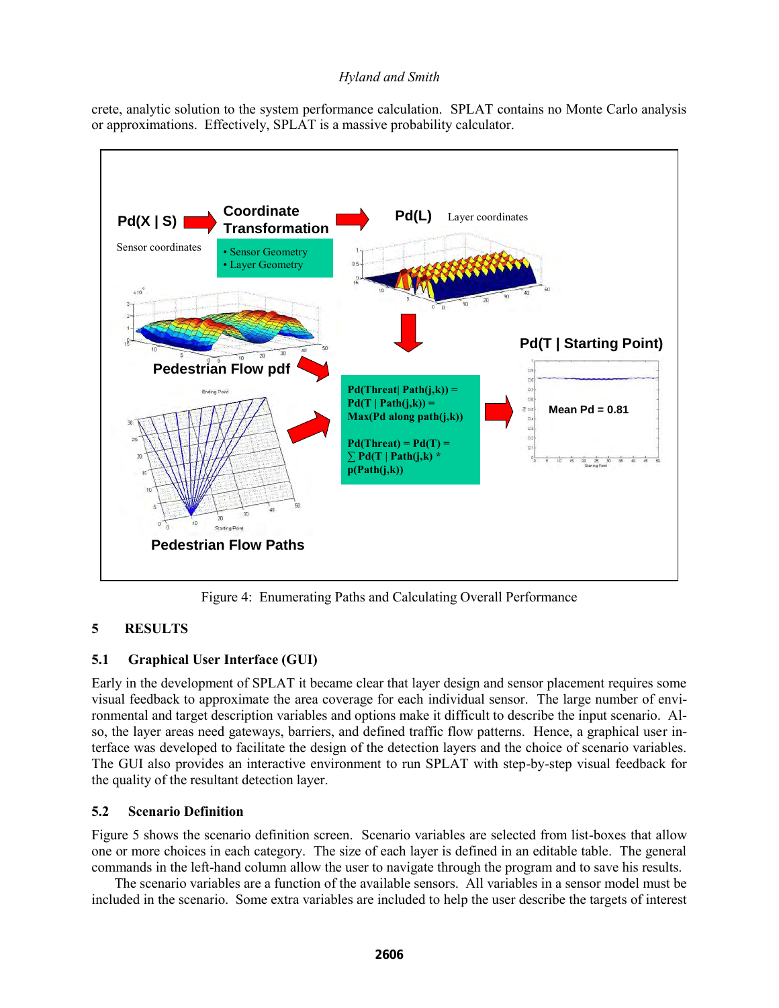crete, analytic solution to the system performance calculation. SPLAT contains no Monte Carlo analysis or approximations. Effectively, SPLAT is a massive probability calculator.



Figure 4: Enumerating Paths and Calculating Overall Performance

# **5 RESULTS**

# **5.1 Graphical User Interface (GUI)**

Early in the development of SPLAT it became clear that layer design and sensor placement requires some visual feedback to approximate the area coverage for each individual sensor. The large number of environmental and target description variables and options make it difficult to describe the input scenario. Also, the layer areas need gateways, barriers, and defined traffic flow patterns. Hence, a graphical user interface was developed to facilitate the design of the detection layers and the choice of scenario variables. The GUI also provides an interactive environment to run SPLAT with step-by-step visual feedback for the quality of the resultant detection layer.

# **5.2 Scenario Definition**

Figure 5 shows the scenario definition screen. Scenario variables are selected from list-boxes that allow one or more choices in each category. The size of each layer is defined in an editable table. The general commands in the left-hand column allow the user to navigate through the program and to save his results.

The scenario variables are a function of the available sensors. All variables in a sensor model must be included in the scenario. Some extra variables are included to help the user describe the targets of interest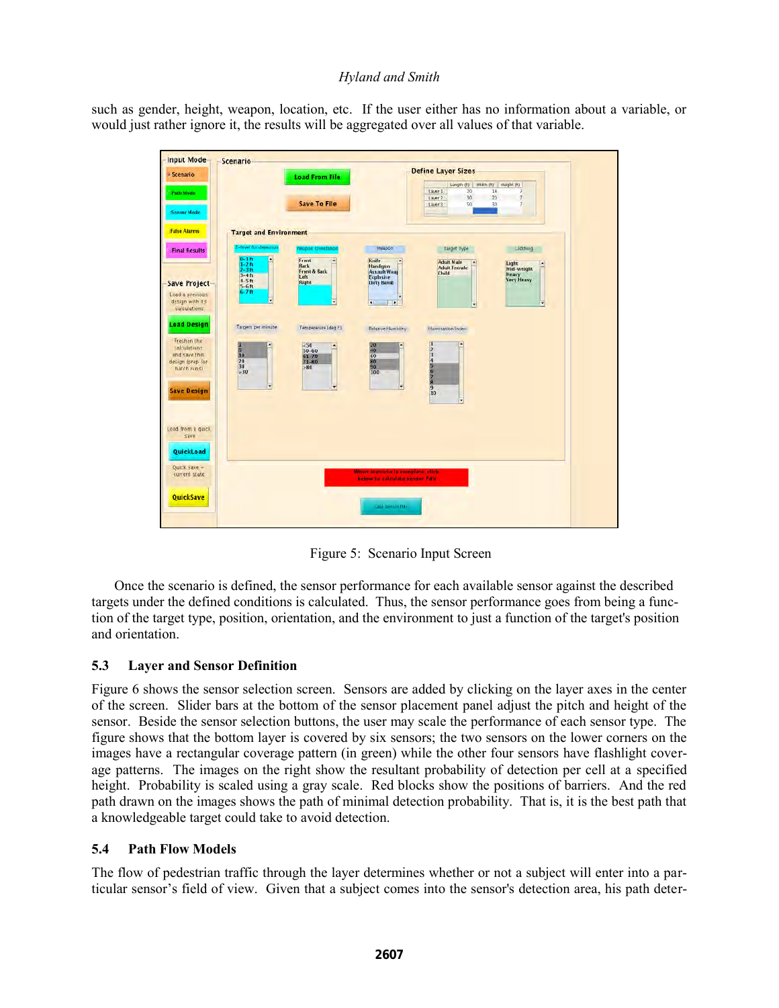such as gender, height, weapon, location, etc. If the user either has no information about a variable, or would just rather ignore it, the results will be aggregated over all values of that variable.

| <b>Input Mode</b>                  | Scenario                                     |                                              |                                                                     |                                                   |                                                   |
|------------------------------------|----------------------------------------------|----------------------------------------------|---------------------------------------------------------------------|---------------------------------------------------|---------------------------------------------------|
| <b>Scenario</b>                    |                                              | <b>Load From File</b>                        |                                                                     | <b>Define Layer Sizes</b>                         |                                                   |
| Path Mode                          |                                              |                                              |                                                                     | Length (h)<br>20<br>Layer 1                       | Width (T) Height (T)<br>14                        |
|                                    |                                              | <b>Save To File</b>                          |                                                                     | 30.<br>Layer 2<br>50<br>Layer 3                   | 20<br>$\mathcal{I}$<br>30                         |
| <b>Sensor Made</b>                 |                                              |                                              |                                                                     |                                                   |                                                   |
| <b>False Alarms</b>                | <b>Target and Environment</b>                |                                              |                                                                     |                                                   |                                                   |
| <b>Final Results</b>               | Z-fevel for detection                        | <b>Nazion Crientation</b>                    | Weapon                                                              | Target Type                                       | Clothing                                          |
|                                    | $0-1$ fr<br>$1-2h$<br>$2 - 3$ ft<br>$3-4$ ft | Front<br><b>Back</b><br>Front & Back<br>Left | Knife<br>۰<br>Handqun<br><b>Assault Wear</b>                        | <b>Adult Male</b><br><b>Adult Female</b><br>Child | Light<br>Mid-weight<br><b>Heavy</b><br>Very Heavy |
| Save Project-                      | $4-5$ ft<br>$5 - 6$ ft                       | Right                                        | Explosive<br>Dirty Bomb                                             |                                                   |                                                   |
| Load a previous<br>design with its | $6 - 7$ ft<br>÷                              | ۰                                            | ٠<br>$\blacksquare$<br>$\left  \cdot \right $                       | ۰                                                 | ÷                                                 |
| calculations                       |                                              |                                              |                                                                     |                                                   |                                                   |
| <b>Load Design</b>                 | Targets per minute                           | Temperature (deg F)                          | Relative Humidity                                                   | <b>Illumination Index</b>                         |                                                   |
| <b>Freshen the</b><br>calculations | п                                            | 250<br>50-60                                 | 20<br>40<br>60                                                      | n                                                 |                                                   |
| and save this<br>design (prep for  | $\frac{5}{10}$<br>20                         | $61 - 70$<br>$11 - 80$                       | $\frac{80}{90}$                                                     | $\frac{2}{4}$                                     |                                                   |
| batch runs)                        | 30<br>$-30$                                  | >80                                          | 100                                                                 | <b>GRANDING</b>                                   |                                                   |
|                                    | ۰                                            |                                              | ٠                                                                   |                                                   |                                                   |
| <b>Save Design</b>                 |                                              |                                              |                                                                     | 10<br>٠                                           |                                                   |
|                                    |                                              |                                              |                                                                     |                                                   |                                                   |
|                                    |                                              |                                              |                                                                     |                                                   |                                                   |
| Load from a quick.<br>save         |                                              |                                              |                                                                     |                                                   |                                                   |
| QuickLoad                          |                                              |                                              |                                                                     |                                                   |                                                   |
|                                    |                                              |                                              |                                                                     |                                                   |                                                   |
| Quick save =<br>current state      |                                              |                                              | When scenario is complete, click<br>below to calculate sensor Pd's. |                                                   |                                                   |
|                                    |                                              |                                              |                                                                     |                                                   |                                                   |
| QuickSave                          |                                              |                                              |                                                                     |                                                   |                                                   |
|                                    |                                              |                                              | <b>Case Giveon Rds</b>                                              |                                                   |                                                   |

Figure 5: Scenario Input Screen

 Once the scenario is defined, the sensor performance for each available sensor against the described targets under the defined conditions is calculated. Thus, the sensor performance goes from being a function of the target type, position, orientation, and the environment to just a function of the target's position and orientation.

# **5.3 Layer and Sensor Definition**

Figure 6 shows the sensor selection screen. Sensors are added by clicking on the layer axes in the center of the screen. Slider bars at the bottom of the sensor placement panel adjust the pitch and height of the sensor. Beside the sensor selection buttons, the user may scale the performance of each sensor type. The figure shows that the bottom layer is covered by six sensors; the two sensors on the lower corners on the images have a rectangular coverage pattern (in green) while the other four sensors have flashlight coverage patterns. The images on the right show the resultant probability of detection per cell at a specified height. Probability is scaled using a gray scale. Red blocks show the positions of barriers. And the red path drawn on the images shows the path of minimal detection probability. That is, it is the best path that a knowledgeable target could take to avoid detection.

# **5.4 Path Flow Models**

The flow of pedestrian traffic through the layer determines whether or not a subject will enter into a particular sensor's field of view. Given that a subject comes into the sensor's detection area, his path deter-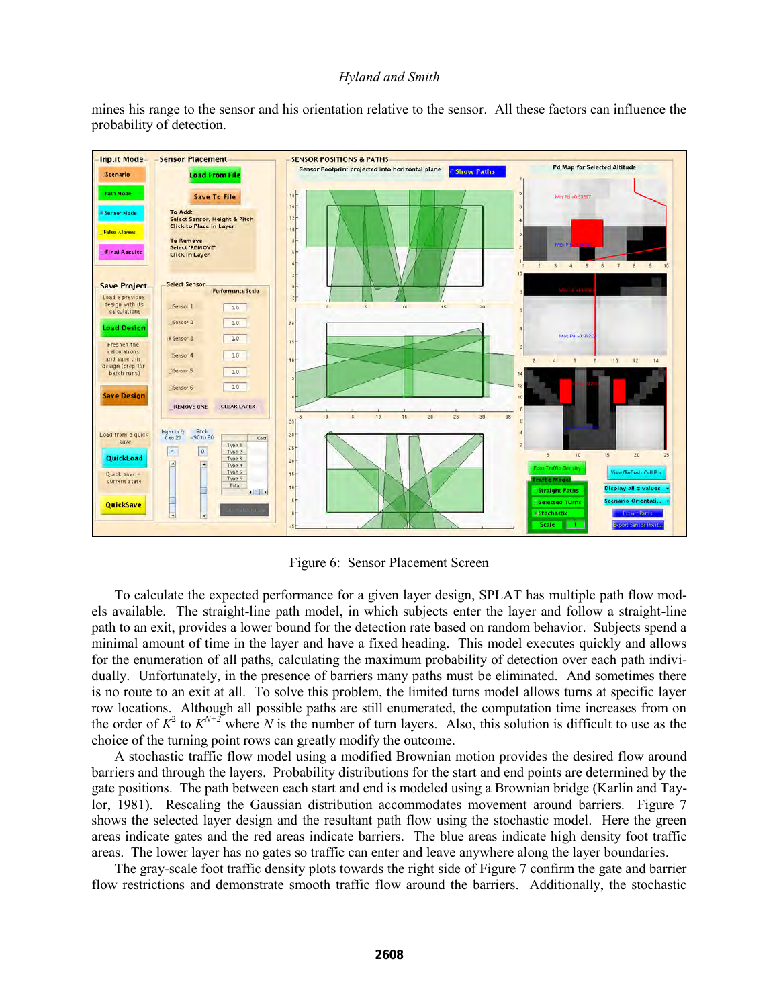mines his range to the sensor and his orientation relative to the sensor. All these factors can influence the probability of detection.



Figure 6: Sensor Placement Screen

To calculate the expected performance for a given layer design, SPLAT has multiple path flow models available. The straight-line path model, in which subjects enter the layer and follow a straight-line path to an exit, provides a lower bound for the detection rate based on random behavior. Subjects spend a minimal amount of time in the layer and have a fixed heading. This model executes quickly and allows for the enumeration of all paths, calculating the maximum probability of detection over each path individually. Unfortunately, in the presence of barriers many paths must be eliminated. And sometimes there is no route to an exit at all. To solve this problem, the limited turns model allows turns at specific layer row locations. Although all possible paths are still enumerated, the computation time increases from on the order of  $K^2$  to  $K^{N+2}$  where *N* is the number of turn layers. Also, this solution is difficult to use as the choice of the turning point rows can greatly modify the outcome.

A stochastic traffic flow model using a modified Brownian motion provides the desired flow around barriers and through the layers. Probability distributions for the start and end points are determined by the gate positions. The path between each start and end is modeled using a Brownian bridge (Karlin and Taylor, 1981). Rescaling the Gaussian distribution accommodates movement around barriers. Figure 7 shows the selected layer design and the resultant path flow using the stochastic model. Here the green areas indicate gates and the red areas indicate barriers. The blue areas indicate high density foot traffic areas. The lower layer has no gates so traffic can enter and leave anywhere along the layer boundaries.

 The gray-scale foot traffic density plots towards the right side of Figure 7 confirm the gate and barrier flow restrictions and demonstrate smooth traffic flow around the barriers. Additionally, the stochastic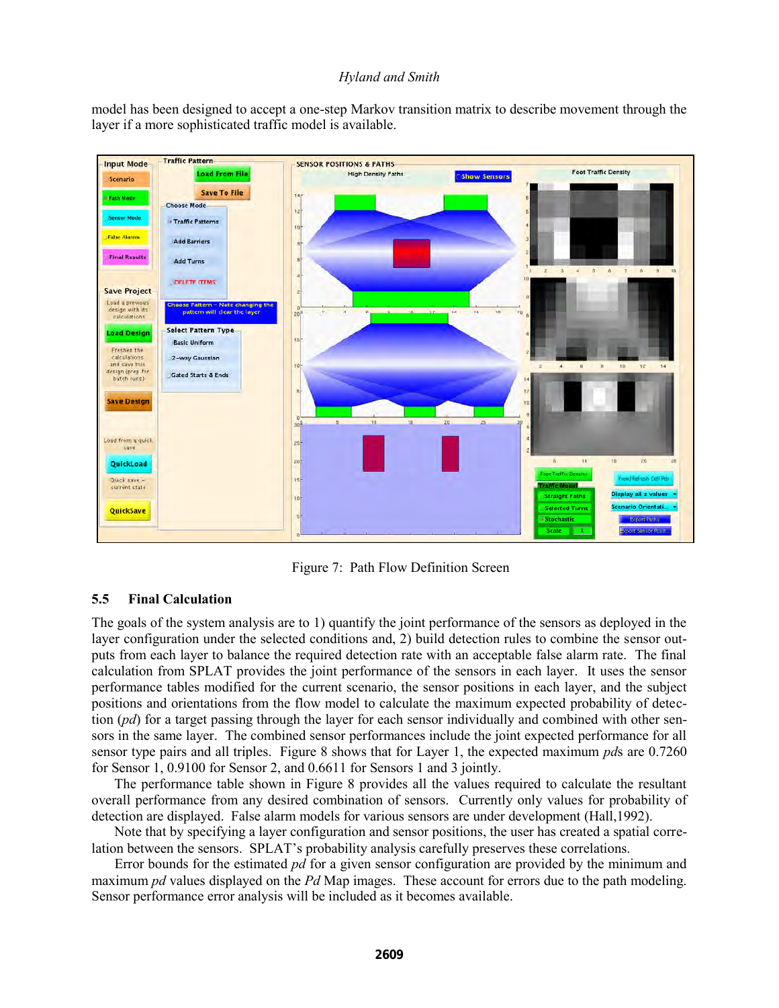model has been designed to accept a one-step Markov transition matrix to describe movement through the layer if a more sophisticated traffic model is available.



Figure 7: Path Flow Definition Screen

# **5.5 Final Calculation**

The goals of the system analysis are to 1) quantify the joint performance of the sensors as deployed in the layer configuration under the selected conditions and, 2) build detection rules to combine the sensor outputs from each layer to balance the required detection rate with an acceptable false alarm rate. The final calculation from SPLAT provides the joint performance of the sensors in each layer. It uses the sensor performance tables modified for the current scenario, the sensor positions in each layer, and the subject positions and orientations from the flow model to calculate the maximum expected probability of detection (*pd*) for a target passing through the layer for each sensor individually and combined with other sensors in the same layer. The combined sensor performances include the joint expected performance for all sensor type pairs and all triples. Figure 8 shows that for Layer 1, the expected maximum *pd*s are 0.7260 for Sensor 1, 0.9100 for Sensor 2, and 0.6611 for Sensors 1 and 3 jointly.

The performance table shown in Figure 8 provides all the values required to calculate the resultant overall performance from any desired combination of sensors. Currently only values for probability of detection are displayed. False alarm models for various sensors are under development (Hall,1992).

Note that by specifying a layer configuration and sensor positions, the user has created a spatial correlation between the sensors. SPLAT's probability analysis carefully preserves these correlations.

Error bounds for the estimated *pd* for a given sensor configuration are provided by the minimum and maximum *pd* values displayed on the *Pd* Map images. These account for errors due to the path modeling. Sensor performance error analysis will be included as it becomes available.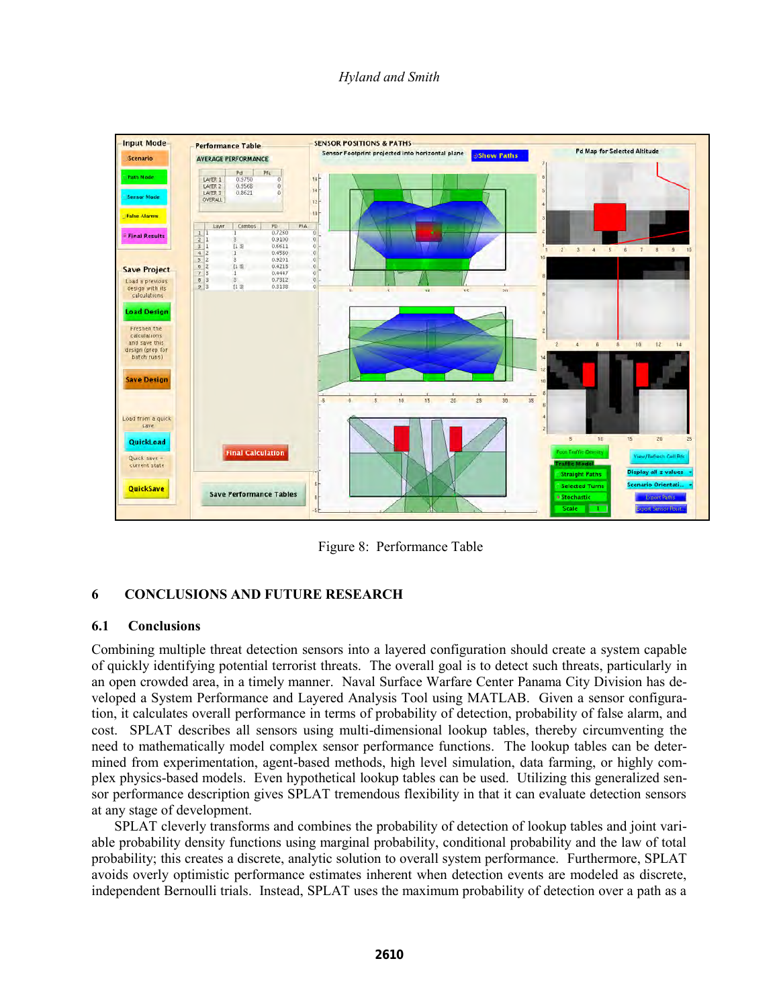

Figure 8: Performance Table

# **6 CONCLUSIONS AND FUTURE RESEARCH**

## **6.1 Conclusions**

Combining multiple threat detection sensors into a layered configuration should create a system capable of quickly identifying potential terrorist threats. The overall goal is to detect such threats, particularly in an open crowded area, in a timely manner. Naval Surface Warfare Center Panama City Division has developed a System Performance and Layered Analysis Tool using MATLAB. Given a sensor configuration, it calculates overall performance in terms of probability of detection, probability of false alarm, and cost. SPLAT describes all sensors using multi-dimensional lookup tables, thereby circumventing the need to mathematically model complex sensor performance functions. The lookup tables can be determined from experimentation, agent-based methods, high level simulation, data farming, or highly complex physics-based models. Even hypothetical lookup tables can be used. Utilizing this generalized sensor performance description gives SPLAT tremendous flexibility in that it can evaluate detection sensors at any stage of development.

 SPLAT cleverly transforms and combines the probability of detection of lookup tables and joint variable probability density functions using marginal probability, conditional probability and the law of total probability; this creates a discrete, analytic solution to overall system performance. Furthermore, SPLAT avoids overly optimistic performance estimates inherent when detection events are modeled as discrete, independent Bernoulli trials. Instead, SPLAT uses the maximum probability of detection over a path as a